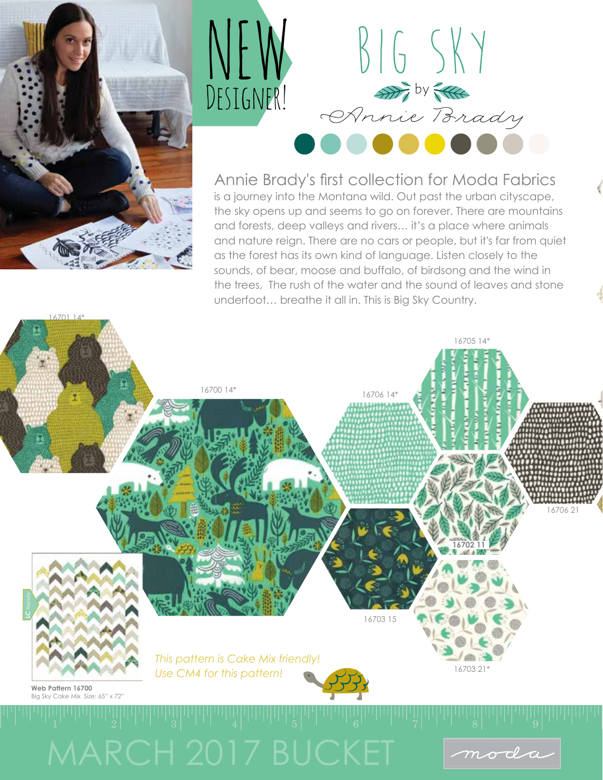



Annie Brady's first collection for Moda Fabrics is a journey into the Montana wild. Out past the urban cityscape, the sky opens up and seems to go on forever. There are mountains and forests, deep valleys and rivers… it's a place where animals and nature reign. There are no cars or people, but it's far from quiet as the forest has its own kind of language. Listen closely to the sounds, of bear, moose and buffalo, of birdsong and the wind in the trees, The rush of the water and the sound of leaves and stone underfoot… breathe it all in. This is Big Sky Country.